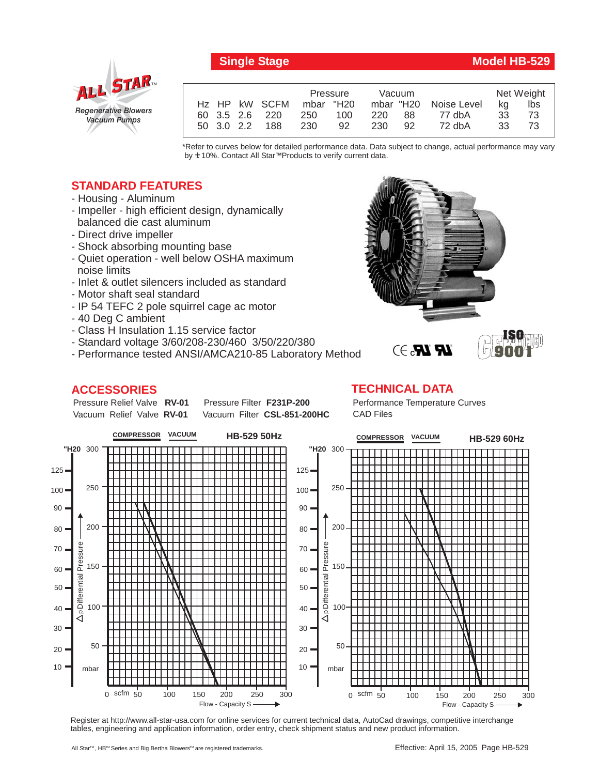

# **Single Stage Model HB-529**

|  |            |                | Pressure  |     | Vacuum |      |                       | Net Weight |     |
|--|------------|----------------|-----------|-----|--------|------|-----------------------|------------|-----|
|  |            | Hz HP kW SCFM  | mbar "H20 |     |        |      | mbar "H20 Noise Level | ka         | lbs |
|  |            | 60 3.5 2.6 220 | 250       | 100 | 220    | -88  | 77 dbA                | 33         | 73  |
|  | 50 3.0 2.2 | 188            | 230       | 92  | 230    | - 92 | 72 dbA                | 33         |     |

\*Refer to curves below for detailed performance data. Data subject to change, actual performance may vary by **+** 10%. Contact All Star™Products to verify current data.

## **STANDARD FEATURES**

- Housing Aluminum
- Impeller high efficient design, dynamically balanced die cast aluminum
- Direct drive impeller
- Shock absorbing mounting base
- Quiet operation well below OSHA maximum noise limits
- Inlet & outlet silencers included as standard
- Motor shaft seal standard
- IP 54 TEFC 2 pole squirrel cage ac motor
- 40 Deg C ambient
- Class H Insulation 1.15 service factor
- Standard voltage 3/60/208-230/460 3/50/220/380
- Performance tested ANSI/AMCA210-85 Laboratory Method

### **ACCESSORIES**

Pressure Relief Valve RV-01 Vacuum Relief Valve RV-01

**Pressure Filter F231P-200** Vacuum Filter CSL-851-200HC



#### **TECHNICAL DATA**

Performance Temperature Curves CAD Files

**LR LR.** 3



Register at http://www.all-star-usa.com for online services for current technical data, AutoCad drawings, competitive interchange tables, engineering and application information, order entry, check shipment status and new product information.